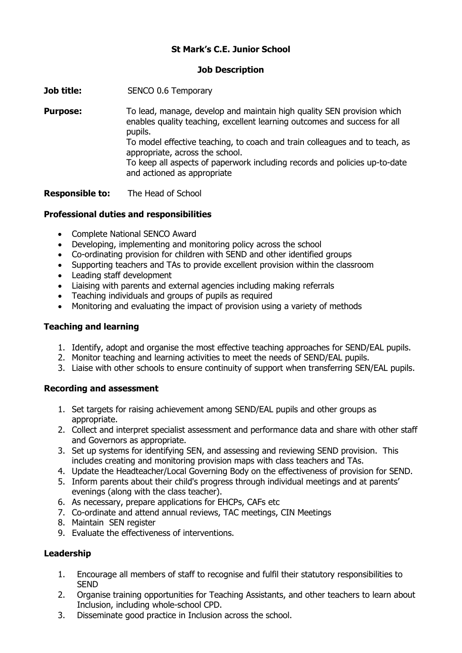## **St Mark's C.E. Junior School**

### **Job Description**

**Job title:** SENCO 0.6 Temporary

**Purpose:** To lead, manage, develop and maintain high quality SEN provision which enables quality teaching, excellent learning outcomes and success for all pupils. To model effective teaching, to coach and train colleagues and to teach, as appropriate, across the school. To keep all aspects of paperwork including records and policies up-to-date and actioned as appropriate

**Responsible to:** The Head of School

### **Professional duties and responsibilities**

- Complete National SENCO Award
- Developing, implementing and monitoring policy across the school
- Co-ordinating provision for children with SEND and other identified groups
- Supporting teachers and TAs to provide excellent provision within the classroom
- Leading staff development
- Liaising with parents and external agencies including making referrals
- Teaching individuals and groups of pupils as required
- Monitoring and evaluating the impact of provision using a variety of methods

### **Teaching and learning**

- 1. Identify, adopt and organise the most effective teaching approaches for SEND/EAL pupils.
- 2. Monitor teaching and learning activities to meet the needs of SEND/EAL pupils.
- 3. Liaise with other schools to ensure continuity of support when transferring SEN/EAL pupils.

#### **Recording and assessment**

- 1. Set targets for raising achievement among SEND/EAL pupils and other groups as appropriate.
- 2. Collect and interpret specialist assessment and performance data and share with other staff and Governors as appropriate.
- 3. Set up systems for identifying SEN, and assessing and reviewing SEND provision. This includes creating and monitoring provision maps with class teachers and TAs.
- 4. Update the Headteacher/Local Governing Body on the effectiveness of provision for SEND.
- 5. Inform parents about their child's progress through individual meetings and at parents' evenings (along with the class teacher).
- 6. As necessary, prepare applications for EHCPs, CAFs etc
- 7. Co-ordinate and attend annual reviews, TAC meetings, CIN Meetings
- 8. Maintain SEN register
- 9. Evaluate the effectiveness of interventions.

### **Leadership**

- 1. Encourage all members of staff to recognise and fulfil their statutory responsibilities to **SEND**
- 2. Organise training opportunities for Teaching Assistants, and other teachers to learn about Inclusion, including whole-school CPD.
- 3. Disseminate good practice in Inclusion across the school.